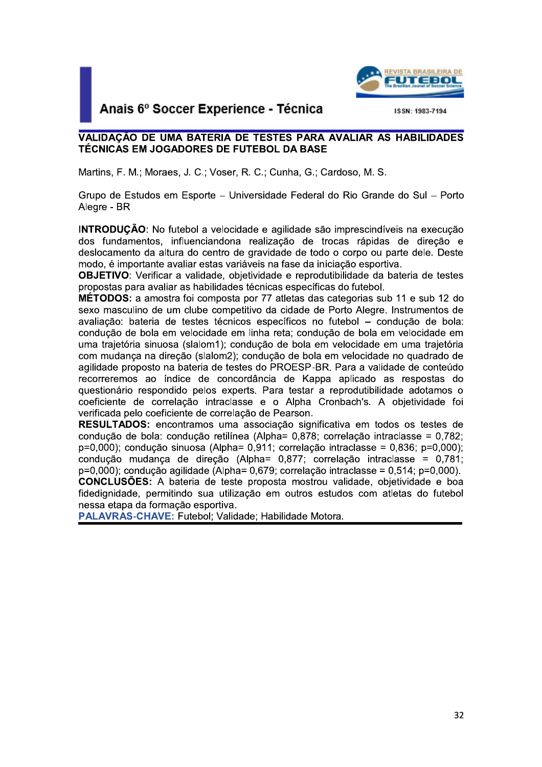

## VALIDAÇÃO DE UMA BATERIA DE TESTES PARA AVALIAR AS HABILIDADES TÉCNICAS EM JOGADORES DE FUTEBOL DA BASE

**EUTEBOL.**<br>
VALIDAÇÃO DE UMA BATERIA DE TESTES PARA AVALIAR AS HABILIDADES<br>
TÉCNICAS EM JOGADORES DE FUTEBOL DA BASE<br>
Martins, F. M.: Moraes, J. C.; Voser, R. C.; Cunha, G.; Cardoso, M. S.<br>
Grupo de Estudos em Esporte — Un **INTRODUCÃO:** 

**OBJETIVO:** Verificar a validade, objetividade e reprodutibilidade da bateria de testes

VALIDAÇÃO E UMA BATERIA DE TESTES PARA AVALIAR AS HABILIDADES<br>
TÉCNICAS EM JOGADORES DE FUTEBOL DA BASE<br>
Martins, F. M.; Moraes, J. C.; Voser, R. C.; Cunha, G.; Cardoso, M. S.<br>
Grupo de Estudos em Esporte – Universidade Fe Grupo de Estudos em Esporte – Universidade Federal do Rio Grande do Sul – Porto<br>Alegre - BR<br> **INTRODUÇÃO:** No futebol a velocidade e agilidade são imprescindíveis na execução<br>
dos fundamentos, influenciandona realização de MÉTODOS: a amostra foi composta por 77 atletas das categorias sub 11 e sub 12 do Alegre - BR<br>
INTRODUÇÃO: No futebol a velocidade e agilidade são imprescindíveis na execução<br>
dos fundamentos, influenciandona realização de trocas rápidas de direção e<br>
deslocamento da altura do centro de gravidade de tot condução de bola em velocidade em linha reta; condução de bola em velocidade em uma trajetória com mudança na direção (slalom?); condução de bola em velocidade no quadrado de aguildade proposto na bateria de testes o PROES

questionário respondido pelos experts. Para testar a reprodutibilidade adotamos o coeficiente de correlação intradase e o Alpha Cronbach's. A objetividade foi verificada pelo coeficiente de correlação de Pearson.<br>RESULTADO